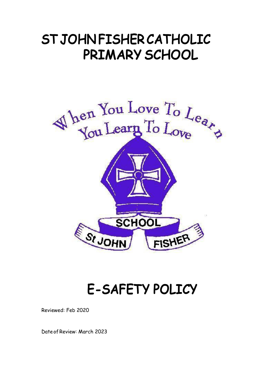# **STJOHN FISHERCATHOLIC PRIMARY SCHOOL**



# **E-SAFETY POLICY**

Reviewed: Feb 2020

Date of Review: March 2023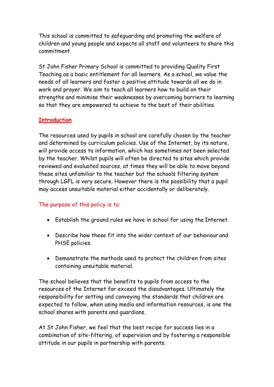This school is committed to safeguarding and promoting the welfare of children and young people and expects all staff and volunteers to share this commitment.

St John Fisher Primary School is committed to providing Quality First Teaching as a basic entitlement for all learners. As a school, we value the needs of all learners and foster a positive attitude towards all we do in work and prayer. We aim to teach all learners how to build on their strengths and minimise their weaknesses by overcoming barriers to learning so that they are empowered to achieve to the best of their abilities.

# **Introduction**

The resources used by pupils in school are carefully chosen by the teacher and determined by curriculum policies. Use of the Internet, by its nature, will provide access to information, which has sometimes not been selected by the teacher. Whilst pupils will often be directed to sites which provide reviewed and evaluated sources, at times they will be able to move beyond these sites unfamiliar to the teacher but the schools filtering system through LGFL is very secure. However there is the possibility that a pupil may access unsuitable material either accidentally or deliberately.

# The purpose of this policy is to:

- Establish the ground rules we have in school for using the Internet.
- Describe how these fit into the wider context of our behaviour and PHSE policies.
- Demonstrate the methods used to protect the children from sites containing unsuitable material.

The school believes that the benefits to pupils from access to the resources of the Internet far exceed the disadvantages. Ultimately the responsibility for setting and conveying the standards that children are expected to follow, when using media and information resources, is one the school shares with parents and guardians.

At St John Fisher, we feel that the best recipe for success lies in a combination of site-filtering, of supervision and by fostering a responsible attitude in our pupils in partnership with parents.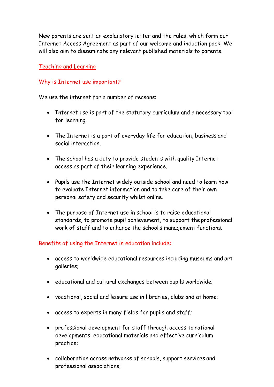New parents are sent an explanatory letter and the rules, which form our Internet Access Agreement as part of our welcome and induction pack. We will also aim to disseminate any relevant published materials to parents.

#### Teaching and Learning

#### Why is Internet use important?

We use the internet for a number of reasons:

- Internet use is part of the statutory curriculum and a necessary tool for learning.
- The Internet is a part of everyday life for education, business and social interaction.
- The school has a duty to provide students with quality Internet access as part of their learning experience.
- Pupils use the Internet widely outside school and need to learn how to evaluate Internet information and to take care of their own personal safety and security whilst online.
- The purpose of Internet use in school is to raise educational standards, to promote pupil achievement, to support the professional work of staff and to enhance the school's management functions.

## Benefits of using the Internet in education include:

- access to worldwide educational resources including museums and art galleries;
- educational and cultural exchanges between pupils worldwide;
- vocational, social and leisure use in libraries, clubs and at home;
- access to experts in many fields for pupils and staff;
- professional development for staff through access to national developments, educational materials and effective curriculum practice;
- collaboration across networks of schools, support services and professional associations;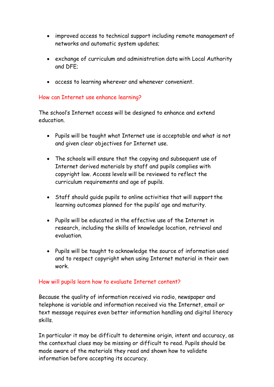- improved access to technical support including remote management of networks and automatic system updates;
- exchange of curriculum and administration data with Local Authority and DFE;
- access to learning wherever and whenever convenient.

#### How can Internet use enhance learning?

The school's Internet access will be designed to enhance and extend education.

- Pupils will be taught what Internet use is acceptable and what is not and given clear objectives for Internet use.
- The schools will ensure that the copying and subsequent use of Internet derived materials by staff and pupils complies with copyright law. Access levels will be reviewed to reflect the curriculum requirements and age of pupils.
- Staff should guide pupils to online activities that will support the learning outcomes planned for the pupils' age and maturity.
- Pupils will be educated in the effective use of the Internet in research, including the skills of knowledge location, retrieval and evaluation.
- Pupils will be taught to acknowledge the source of information used and to respect copyright when using Internet material in their own work.

## How will pupils learn how to evaluate Internet content?

Because the quality of information received via radio, newspaper and telephone is variable and information received via the Internet, email or text message requires even better information handling and digital literacy skills.

In particular it may be difficult to determine origin, intent and accuracy, as the contextual clues may be missing or difficult to read. Pupils should be made aware of the materials they read and shown how to validate information before accepting its accuracy.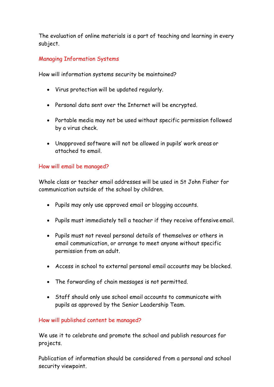The evaluation of online materials is a part of teaching and learning in every subject.

# Managing Information Systems

How will information systems security be maintained?

- Virus protection will be updated regularly.
- Personal data sent over the Internet will be encrypted.
- Portable media may not be used without specific permission followed by a virus check.
- Unapproved software will not be allowed in pupils' work areas or attached to email.

## How will email be managed?

Whole class or teacher email addresses will be used in St John Fisher for communication outside of the school by children.

- Pupils may only use approved email or blogging accounts.
- Pupils must immediately tell a teacher if they receive offensive email.
- Pupils must not reveal personal details of themselves or others in email communication, or arrange to meet anyone without specific permission from an adult.
- Access in school to external personal email accounts may be blocked.
- The forwarding of chain messages is not permitted.
- Staff should only use school email accounts to communicate with pupils as approved by the Senior Leadership Team.

## How will published content be managed?

We use it to celebrate and promote the school and publish resources for projects.

Publication of information should be considered from a personal and school security viewpoint.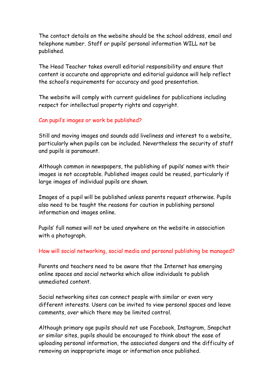The contact details on the website should be the school address, email and telephone number. Staff or pupils' personal information WILL not be published.

The Head Teacher takes overall editorial responsibility and ensure that content is accurate and appropriate and editorial guidance will help reflect the school's requirements for accuracy and good presentation.

The website will comply with current guidelines for publications including respect for intellectual property rights and copyright.

#### Can pupil's images or work be published?

Still and moving images and sounds add liveliness and interest to a website, particularly when pupils can be included. Nevertheless the security of staff and pupils is paramount.

Although common in newspapers, the publishing of pupils' names with their images is not acceptable. Published images could be reused, particularly if large images of individual pupils are shown.

Images of a pupil will be published unless parents request otherwise. Pupils also need to be taught the reasons for caution in publishing personal information and images online.

Pupils' full names will not be used anywhere on the website in association with a photograph.

#### How will social networking, social media and personal publishing be managed?

Parents and teachers need to be aware that the Internet has emerging online spaces and social networks which allow individuals to publish unmediated content.

Social networking sites can connect people with similar or even very different interests. Users can be invited to view personal spaces and leave comments, over which there may be limited control.

Although primary age pupils should not use Facebook, Instagram, Snapchat or similar sites, pupils should be encouraged to think about the ease of uploading personal information, the associated dangers and the difficulty of removing an inappropriate image or information once published.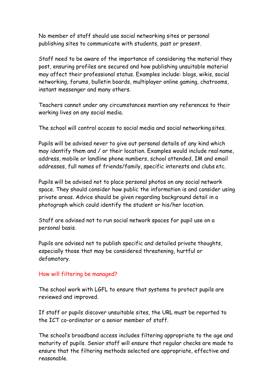No member of staff should use social networking sites or personal publishing sites to communicate with students, past or present.

Staff need to be aware of the importance of considering the material they post, ensuring profiles are secured and how publishing unsuitable material may affect their professional status. Examples include: blogs, wikis, social networking, forums, bulletin boards, multiplayer online gaming, chatrooms, instant messenger and many others.

Teachers cannot under any circumstances mention any references to their working lives on any social media.

The school will control access to social media and social networking sites.

Pupils will be advised never to give out personal details of any kind which may identify them and / or their location. Examples would include real name, address, mobile or landline phone numbers, school attended, IM and email addresses, full names of friends/family, specific interests and clubs etc.

Pupils will be advised not to place personal photos on any social network space. They should consider how public the information is and consider using private areas. Advice should be given regarding background detail in a photograph which could identify the student or his/her location.

Staff are advised not to run social network spaces for pupil use on a personal basis.

Pupils are advised not to publish specific and detailed private thoughts, especially those that may be considered threatening, hurtful or defamatory.

## How will filtering be managed?

The school work with LGFL to ensure that systems to protect pupils are reviewed and improved.

If staff or pupils discover unsuitable sites, the URL must be reported to the ICT co-ordinator or a senior member of staff.

The school's broadband access includes filtering appropriate to the age and maturity of pupils. Senior staff will ensure that regular checks are made to ensure that the filtering methods selected are appropriate, effective and reasonable.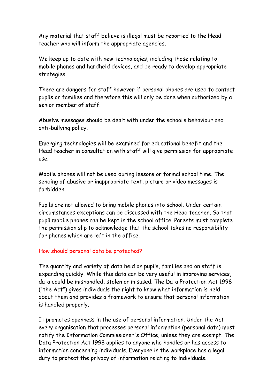Any material that staff believe is illegal must be reported to the Head teacher who will inform the appropriate agencies.

We keep up to date with new technologies, including those relating to mobile phones and handheld devices, and be ready to develop appropriate strategies.

There are dangers for staff however if personal phones are used to contact pupils or families and therefore this will only be done when authorized by a senior member of staff.

Abusive messages should be dealt with under the school's behaviour and anti-bullying policy.

Emerging technologies will be examined for educational benefit and the Head teacher in consultation with staff will give permission for appropriate use.

Mobile phones will not be used during lessons or formal school time. The sending of abusive or inappropriate text, picture or video messages is forbidden.

Pupils are not allowed to bring mobile phones into school. Under certain circumstances exceptions can be discussed with the Head teacher, So that pupil mobile phones can be kept in the school office. Parents must complete the permission slip to acknowledge that the school takes no responsibility for phones which are left in the office.

## How should personal data be protected?

The quantity and variety of data held on pupils, families and on staff is expanding quickly. While this data can be very useful in improving services, data could be mishandled, stolen or misused. The Data Protection Act 1998 ("the Act") gives individuals the right to know what information is held about them and provides a framework to ensure that personal information is handled properly.

It promotes openness in the use of personal information. Under the Act every organisation that processes personal information (personal data) must notify the Information Commissioner's Office, unless they are exempt. The Data Protection Act 1998 applies to anyone who handles or has access to information concerning individuals. Everyone in the workplace has a legal duty to protect the privacy of information relating to individuals.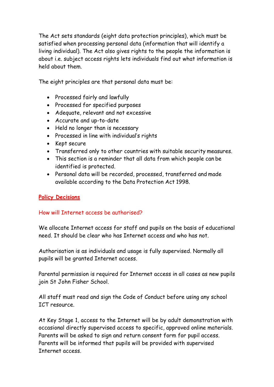The Act sets standards (eight data protection principles), which must be satisfied when processing personal data (information that will identify a living individual). The Act also gives rights to the people the information is about i.e. subject access rights lets individuals find out what information is held about them.

The eight principles are that personal data must be:

- Processed fairly and lawfully
- Processed for specified purposes
- Adequate, relevant and not excessive
- Accurate and up-to-date
- Held no longer than is necessary
- Processed in line with individual's rights
- Kept secure
- Transferred only to other countries with suitable security measures.
- This section is a reminder that all data from which people can be identified is protected.
- Personal data will be recorded, processed, transferred and made available according to the Data Protection Act 1998.

# **Policy Decisions**

# How will Internet access be authorised?

We allocate Internet access for staff and pupils on the basis of educational need. It should be clear who has Internet access and who has not.

Authorisation is as individuals and usage is fully supervised. Normally all pupils will be granted Internet access.

Parental permission is required for Internet access in all cases as new pupils join St John Fisher School.

All staff must read and sign the Code of Conduct before using any school ICT resource.

At Key Stage 1, access to the Internet will be by adult demonstration with occasional directly supervised access to specific, approved online materials. Parents will be asked to sign and return consent form for pupil access. Parents will be informed that pupils will be provided with supervised Internet access.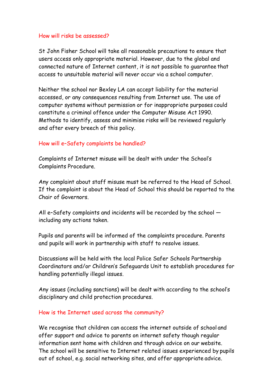#### How will risks be assessed?

St John Fisher School will take all reasonable precautions to ensure that users access only appropriate material. However, due to the global and connected nature of Internet content, it is not possible to guarantee that access to unsuitable material will never occur via a school computer.

Neither the school nor Bexley LA can accept liability for the material accessed, or any consequences resulting from Internet use. The use of computer systems without permission or for inappropriate purposes could constitute a criminal offence under the Computer Misuse Act 1990. Methods to identify, assess and minimise risks will be reviewed regularly and after every breech of this policy.

## How will e–Safety complaints be handled?

Complaints of Internet misuse will be dealt with under the School's Complaints Procedure.

Any complaint about staff misuse must be referred to the Head of School. If the complaint is about the Head of School this should be reported to the Chair of Governors.

All e–Safety complaints and incidents will be recorded by the school including any actions taken.

Pupils and parents will be informed of the complaints procedure. Parents and pupils will work in partnership with staff to resolve issues.

Discussions will be held with the local Police Safer Schools Partnership Coordinators and/or Children's Safeguards Unit to establish procedures for handling potentially illegal issues.

Any issues (including sanctions) will be dealt with according to the school's disciplinary and child protection procedures.

#### How is the Internet used across the community?

We recognise that children can access the internet outside of school and offer support and advice to parents on internet safety though regular information sent home with children and through advice on our website. The school will be sensitive to Internet related issues experienced by pupils out of school, e.g. social networking sites, and offer appropriate advice.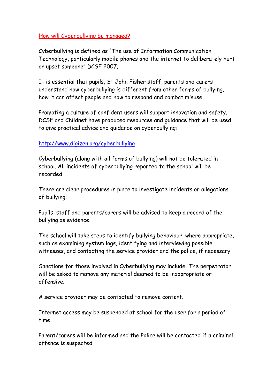#### How will Cyberbullying be managed?

Cyberbullying is defined as "The use of Information Communication Technology, particularly mobile phones and the internet to deliberately hurt or upset someone" DCSF 2007.

It is essential that pupils, St John Fisher staff, parents and carers understand how cyberbullying is different from other forms of bullying, how it can affect people and how to respond and combat misuse.

Promoting a culture of confident users will support innovation and safety. DCSF and Childnet have produced resources and guidance that will be used to give practical advice and guidance on cyberbullying:

## <http://www.digizen.org/cyberbullying>

Cyberbullying (along with all forms of bullying) will not be tolerated in school. All incidents of cyberbullying reported to the school will be recorded.

There are clear procedures in place to investigate incidents or allegations of bullying:

Pupils, staff and parents/carers will be advised to keep a record of the bullying as evidence.

The school will take steps to identify bullying behaviour, where appropriate, such as examining system logs, identifying and interviewing possible witnesses, and contacting the service provider and the police, if necessary.

Sanctions for those involved in Cyberbullying may include: The perpetrator will be asked to remove any material deemed to be inappropriate or offensive.

A service provider may be contacted to remove content.

Internet access may be suspended at school for the user for a period of time.

Parent/carers will be informed and the Police will be contacted if a criminal offence is suspected.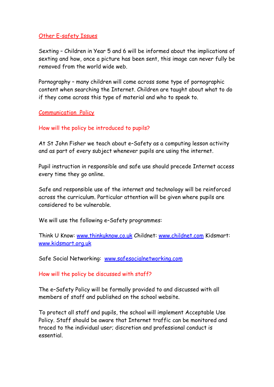#### Other E-safety Issues

Sexting – Children in Year 5 and 6 will be informed about the implications of sexting and how, once a picture has been sent, this image can never fully be removed from the world wide web.

Pornography – many children will come across some type of pornographic content when searching the Internet. Children are taught about what to do if they come across this type of material and who to speak to.

#### Communication Policy

#### How will the policy be introduced to pupils?

At St John Fisher we teach about e–Safety as a computing lesson activity and as part of every subject whenever pupils are using the internet.

Pupil instruction in responsible and safe use should precede Internet access every time they go online.

Safe and responsible use of the internet and technology will be reinforced across the curriculum. Particular attention will be given where pupils are considered to be vulnerable.

We will use the following e–Safety programmes:

Think U Know: [www.thinkuknow.co.uk](http://www.thinkuknow.co.uk/) Childnet: [www.childnet.com](http://www.childnet.com/) Kidsmart: [www.kidsmart.org.uk](http://www.kidsmart.org.uk/)

Safe Social Networking: [www.safesocialnetworking.com](http://www.safesocialnetworking.com/)

How will the policy be discussed with staff?

The e–Safety Policy will be formally provided to and discussed with all members of staff and published on the school website.

To protect all staff and pupils, the school will implement Acceptable Use Policy. Staff should be aware that Internet traffic can be monitored and traced to the individual user; discretion and professional conduct is essential.